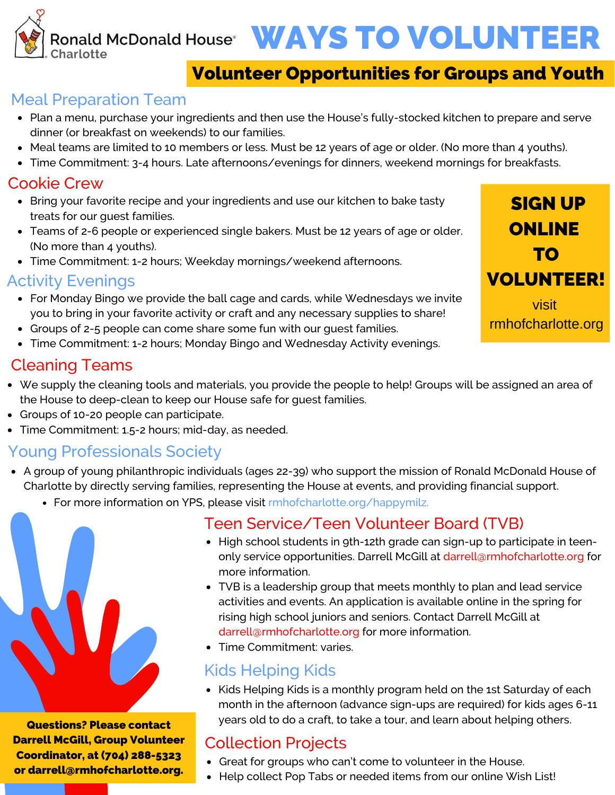Ronald McDonald House<sup>®</sup> WAYS TO VOLUNTEER Charlotte

# Volunteer Opportunities for Groups and Youth

## Meal Preparation Team

- Plan a menu, purchase your ingredients and then use the House's fully-stocked kitchen to prepare and serve dinner (or breakfast on weekends) to our families.
- Meal teams are limited to 10 members or less. Must be 12 years of age or older. (No more than 4 youths).
- Time Commitment: 3-4 hours. Late afternoons/evenings for dinners, weekend mornings for breakfasts.

### Cookie Crew

- Bring your favorite recipe and your ingredients and use our kitchen to bake tasty treats for our guest families.
- Teams of 2-6 people or experienced single bakers. Must be 12 years of age or older. (No more than 4 youths).
- Time Commitment: 1-2 hours; Weekday mornings/weekend afternoons.

### Activity Evenings

- For Monday Bingo we provide the ball cage and cards, while Wednesdays we invite you to bring in your favorite activity or craft and any necessary supplies to share!
- Groups of 2-5 people can come share some fun with our quest families.
- Time Commitment: 1-2 hours; Monday Bingo and Wednesday Activity evenings.

## Cleaning Teams

- We supply the cleaning tools and materials, you provide the people to help! Groups will be assigned an area of the House to deep-clean to keep our House safe for guest families.
- Groups of 10-20 people can participate.
- Time Commitment: 1.5-2 hours; mid-day, as needed.

## Young Professionals Society

- A group of young philanthropic individuals (ages 22-39) who support the mission of Ronald McDonald House of Charlotte by directly serving families, representing the House at events, and providing financial support.
	- For more information on YPS, please visit rmhofcharlotte.org/happymilz.



Darrell McGill, Group Volunteer Coordinator, at (704) 288-5323 or darrell@rmhofcharlotte.org.

### Teen Service/Teen Volunteer Board (TVB)

- High school students in 9th-12th grade can sign-up to participate in teenonly service opportunities. Darrell McGill at darrell@rmhofcharlotte.org for more information.
- TVB is a leadership group that meets monthly to plan and lead service activities and events. An application is available online in the spring for rising high school juniors and seniors. Contact Darrell McGill at darrell@rmhofcharlotte.org for more information.
- **Time Commitment: varies.**

# Kids Helping Kids

• Kids Helping Kids is a monthly program held on the 1st Saturday of each month in the afternoon (advance sign-ups are required) for kids ages 6-11 years old to do a craft, to take a tour, and learn about helping others.

# Collection Projects

- Great for groups who can't come to volunteer in the House.
- Help collect Pop Tabs or needed items from our online Wish List!

SIGN UP ONLINE TO VOLUNTEER! visit rmhofcharlotte.org